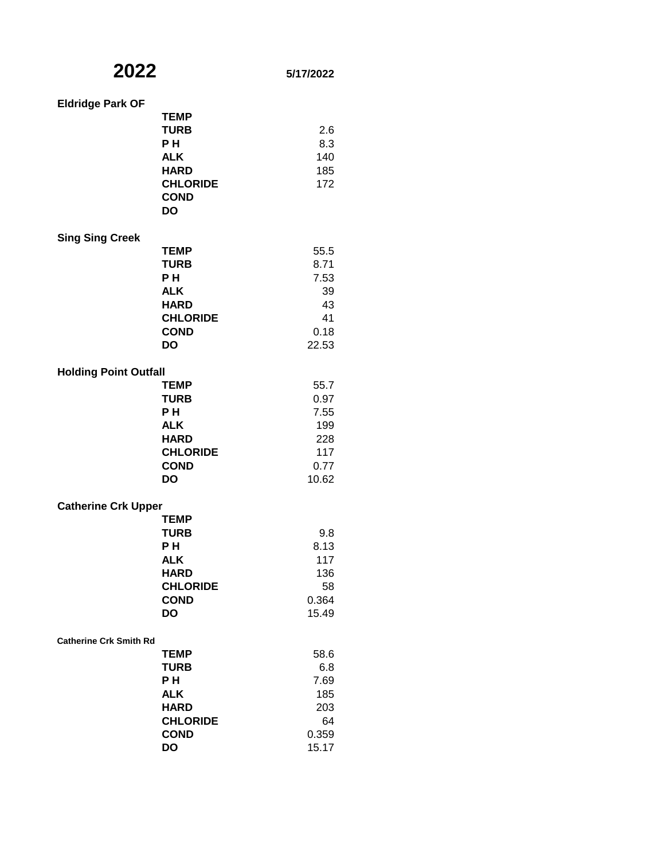| <b>Eldridge Park OF</b>       |                                                                                                              |                                                            |
|-------------------------------|--------------------------------------------------------------------------------------------------------------|------------------------------------------------------------|
|                               | <b>TEMP</b><br><b>TURB</b><br>PН<br><b>ALK</b><br><b>HARD</b><br><b>CHLORIDE</b><br><b>COND</b><br><b>DO</b> | 2.6<br>8.3<br>140<br>185<br>172                            |
| <b>Sing Sing Creek</b>        |                                                                                                              |                                                            |
|                               | <b>TEMP</b><br><b>TURB</b><br>PН<br><b>ALK</b><br><b>HARD</b><br><b>CHLORIDE</b><br><b>COND</b><br><b>DO</b> | 55.5<br>8.71<br>7.53<br>39<br>43<br>41<br>0.18<br>22.53    |
| <b>Holding Point Outfall</b>  |                                                                                                              |                                                            |
|                               | <b>TEMP</b><br><b>TURB</b><br>P H<br><b>ALK</b><br><b>HARD</b><br><b>CHLORIDE</b><br><b>COND</b><br>DO       | 55.7<br>0.97<br>7.55<br>199<br>228<br>117<br>0.77<br>10.62 |
| <b>Catherine Crk Upper</b>    |                                                                                                              |                                                            |
|                               | <b>TEMP</b><br><b>TURB</b><br>PН<br><b>ALK</b><br><b>HARD</b><br><b>CHLORIDE</b><br><b>COND</b><br><b>DO</b> | 9.8<br>8.13<br>117<br>136<br>58<br>0.364<br>15.49          |
| <b>Catherine Crk Smith Rd</b> | <b>TEMP</b><br><b>TURB</b><br>PН<br><b>ALK</b><br><b>HARD</b><br><b>CHLORIDE</b><br><b>COND</b><br>DO        | 58.6<br>6.8<br>7.69<br>185<br>203<br>64<br>0.359<br>15.17  |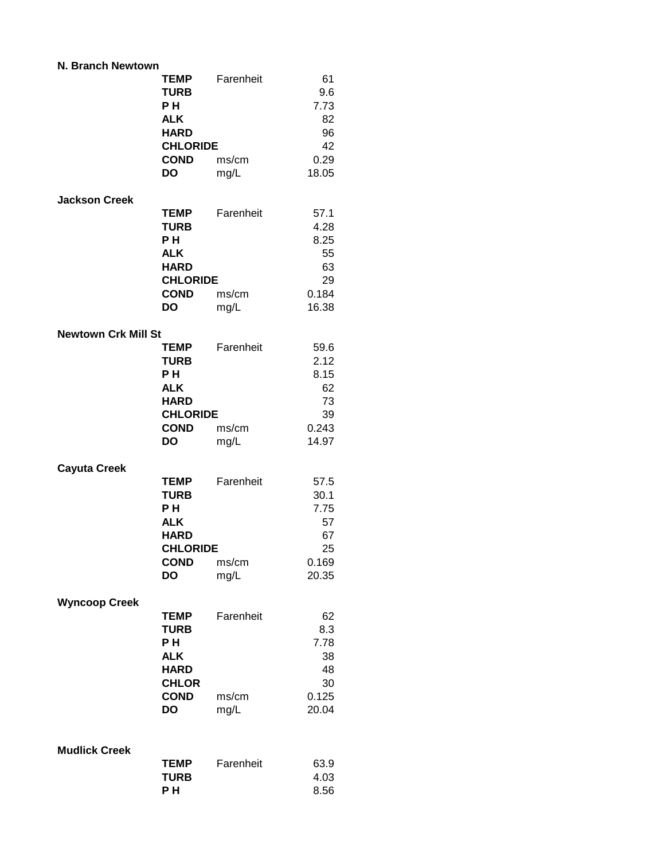| N. Branch Newtown          |                                                                                                               |                            |                                                          |
|----------------------------|---------------------------------------------------------------------------------------------------------------|----------------------------|----------------------------------------------------------|
|                            | <b>TEMP</b><br><b>TURB</b><br>P H<br><b>ALK</b><br><b>HARD</b><br><b>CHLORIDE</b><br><b>COND</b><br><b>DO</b> | Farenheit<br>ms/cm<br>mg/L | 61<br>9.6<br>7.73<br>82<br>96<br>42<br>0.29<br>18.05     |
| <b>Jackson Creek</b>       | <b>TEMP</b><br><b>TURB</b><br>P H<br><b>ALK</b><br><b>HARD</b><br><b>CHLORIDE</b><br><b>COND</b><br>DO        | Farenheit<br>ms/cm<br>mg/L | 57.1<br>4.28<br>8.25<br>55<br>63<br>29<br>0.184<br>16.38 |
| <b>Newtown Crk Mill St</b> |                                                                                                               |                            |                                                          |
|                            | <b>TEMP</b><br><b>TURB</b><br>P H<br><b>ALK</b><br><b>HARD</b><br><b>CHLORIDE</b><br><b>COND</b><br>DO        | Farenheit<br>ms/cm<br>mg/L | 59.6<br>2.12<br>8.15<br>62<br>73<br>39<br>0.243<br>14.97 |
|                            |                                                                                                               |                            |                                                          |
| <b>Cayuta Creek</b>        | <b>TEMP</b><br><b>TURB</b><br>PН<br><b>ALK</b><br><b>HARD</b><br><b>CHLORIDE</b><br><b>COND</b><br><b>DO</b>  | Farenheit<br>ms/cm<br>mg/L | 57.5<br>30.1<br>7.75<br>57<br>67<br>25<br>0.169<br>20.35 |
|                            |                                                                                                               |                            |                                                          |
| <b>Wyncoop Creek</b>       | <b>TEMP</b><br><b>TURB</b><br>PН<br><b>ALK</b><br><b>HARD</b><br><b>CHLOR</b><br><b>COND</b><br>DO            | Farenheit<br>ms/cm<br>mg/L | 62<br>8.3<br>7.78<br>38<br>48<br>30<br>0.125<br>20.04    |
|                            |                                                                                                               |                            |                                                          |
| <b>Mudlick Creek</b>       | <b>TEMP</b><br><b>TURB</b><br>PН                                                                              | Farenheit                  | 63.9<br>4.03<br>8.56                                     |